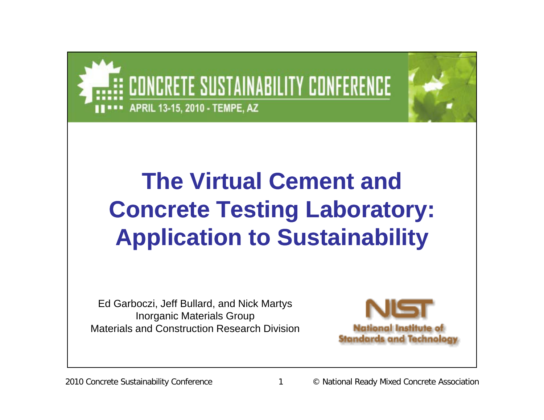

### **The Virtual Cement and Concrete Testing Laboratory: Application to Sustainability**

Ed Garboczi, Jeff Bullard, and Nick Martys **Inorganic Materials Group** Materials and Construction Research Division



2010 Concrete Sustainability Conference 1 Concrete Association 1 Control Ready Mixed Concrete Association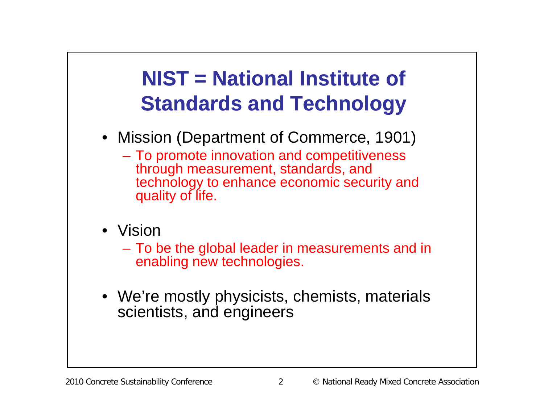#### **NIST = National Institute of Standards** and **Technology**

- Mission (Department of Commerce, 1901)
	- To promote innovation and competitiveness through measurement, standards, and technology to enhance economic security and quality of life.
- Vision
	- To be the global leader in measurements and in enabling new technologies.
- We're mostly physicists, chemists, materials scientists, and engineers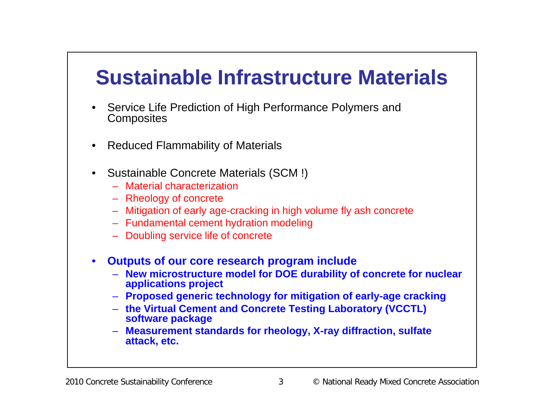#### **Sustainable Infrastructure Materials**

- •• Service Life Prediction of High Performance Polymers and **Composites**
- •Reduced Flammability of Materials
- • Sustainable Concrete Materials (SCM !)
	- Material characterization
	- Rheology of concrete
	- Mitigation of early age-cracking in high volume fly ash concrete
	- Fundamental cement hydration modeling
	- Doubling service life of concrete
- • **Outputs of our core research program include**
	- **New microstructure model for DOE durability of concrete for nuclear applications project**
	- **Proposed generic technology for mitigation of early-age cracking**
	- **the Virtual Cement and Concrete Testing Laboratory (VCCTL) soft k ware pac kage**
	- **Measurement standards for rheology, X-ray diffraction, sulfate attack, etc.**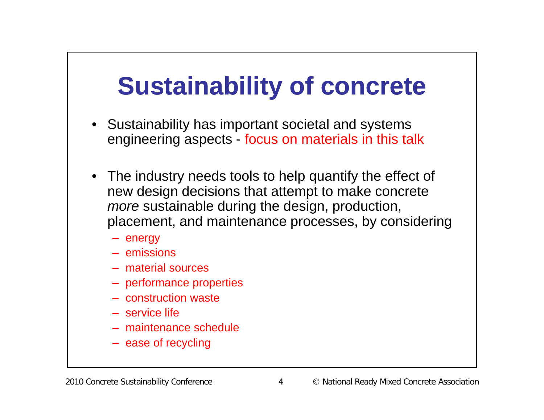## **Sustainability of concrete**

- • Sustainability has important societal and systems engineering aspects - focus on materials in this talk
- The industry needs tools to help quantify the effect of new design decisions that attempt to make concrete *more* sustainable during the design, production, placement, and maintenance processes, by considering
	- energy
	- emissions
	- material sources
	- performance properties
	- construction waste
	- service life
	- maintenance schedule
	- ease of recycling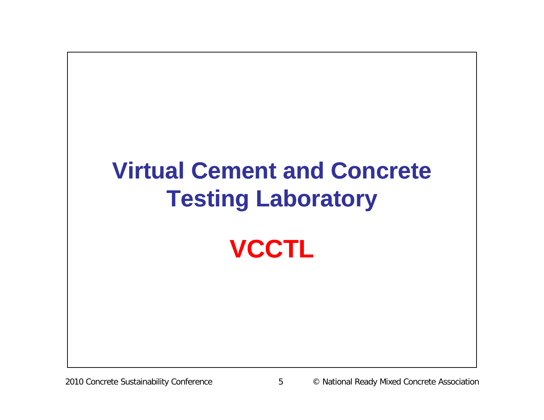# **Virtual Cement and Concrete Testin g y Laborator y**

## **VCCTL**

2010 Concrete Sustainability Conference 5 6 C National Ready Mixed Concrete Association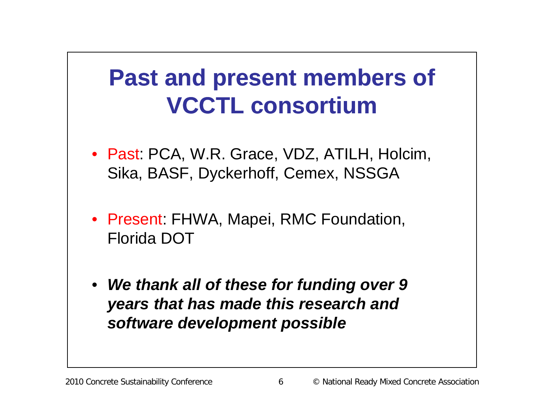#### **Past and present members of VCCTL consortium**

- Past: PCA, W.R. Grace, VDZ, ATILH, Holcim, Sika, BASF, Dyckerhoff, Cemex, NSSGA
- Present: FHWA, Mapei, RMC Foundation, Florida DOT
- *We thank all of these for funding over 9 years that has made this research and software development possible*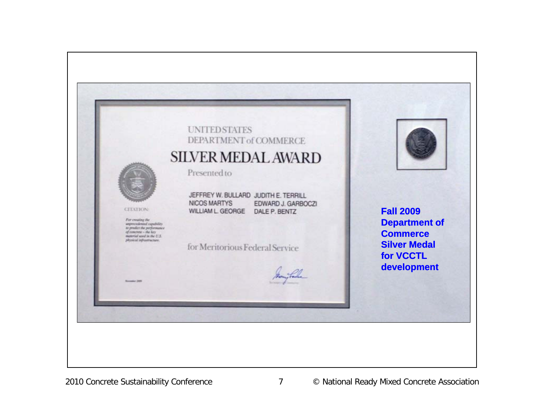

2010 Concrete Sustainability Conference 7 7 C National Ready Mixed Concrete Association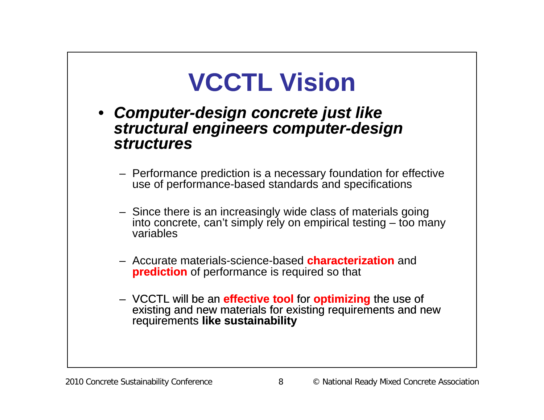## **VCCTL Vision**

- • *Compute r-design concrete just like structural engineers computer computer-design structures*
	- Performance prediction is a necessary foundation for effective use of performance-based standards and specifications
	- $-$  Since there is an increasingly wide class of materials going into concrete, can't simply rely on empirical testing – too many variables
	- Accurate materials-science-based **characterization** and **prediction** of performance is required so that
	- VCCTL will be an **effective tool** for **optimizing** the use of existing and new materials for existing requirements and new requirements **like sustainabilit y**

2010 Concrete Sustainability Conference **8** 6 © National Ready Mixed Concrete Association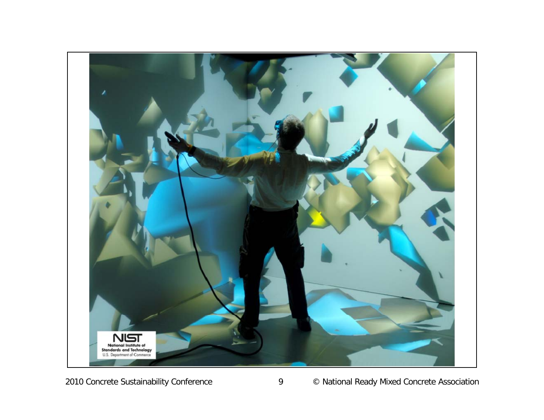

2010 Concrete Sustainability Conference **9** 9 © National Ready Mixed Concrete Association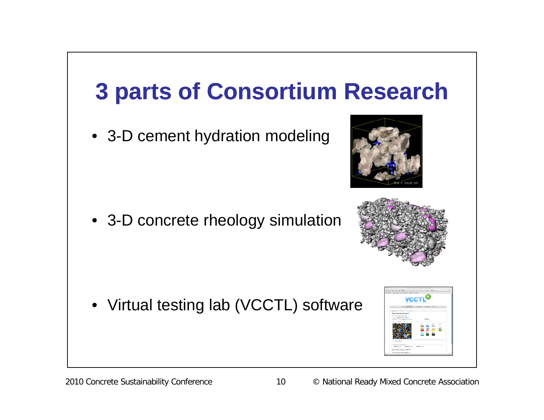

• 3-D cement hydration modeling

• 3-D concrete rheology simulation



• Virtual testing lab (VCCTL) software

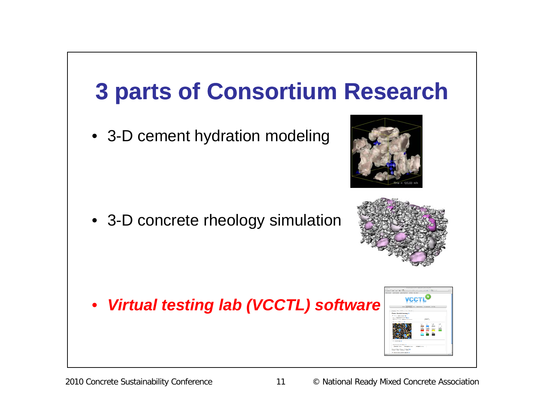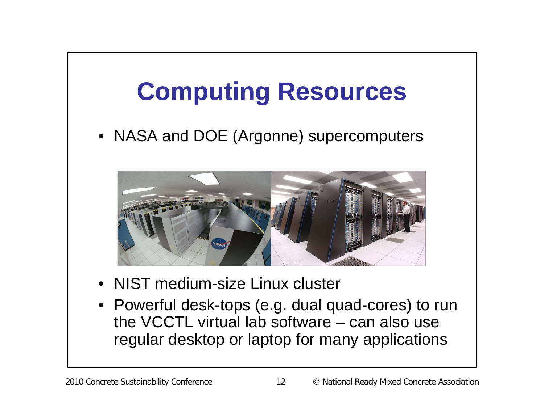# **Computing Resources**

• NASA and DOE (Argonne) supercomputers



- NIST medium-size Linux cluster
- Powerful desk-tops (e.g. dual quad-cores) to run the VCCTL virtual lab software – can also use regular desktop or laptop for many applications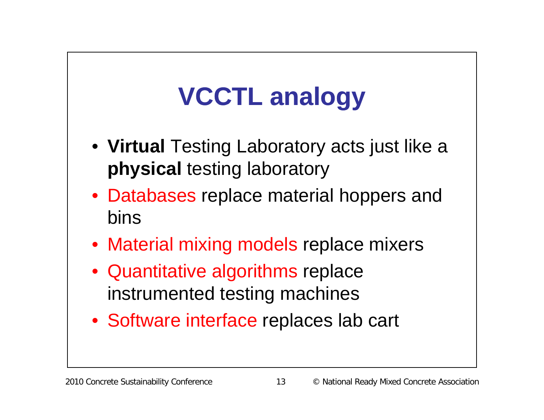# **VCCTL analogy**

- **Virtual** Testing Laboratory acts just like a **physical** testing laboratory
- Databases replace material hoppers and bins
- Material mixing models replace mixers
- Quantitative algorithms replace instrumented testing machines
- Software interface replaces lab cart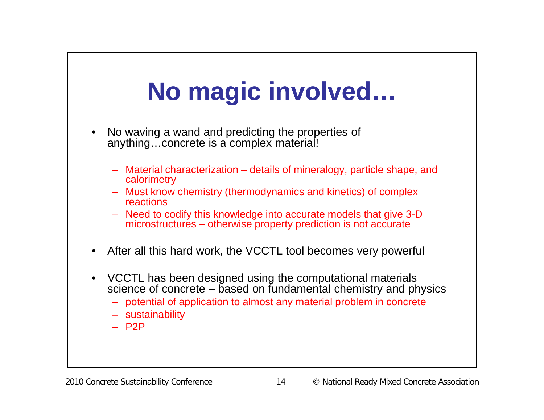

- • No waving a wand and predicting the properties of anything…concrete is a complex material!
	- Material characterization details of mineralogy, particle shape, and calorimetry
	- Must know chemistry (thermodynamics and kinetics) of complex reactions
	- Need to codify this knowledge into accurate models that give 3-D microstructures – otherwise property prediction is not accurate
- •After all this hard work, the VCCTL tool becomes very powerful
- • VCCTL has been designed using the computational materials science of concrete – based on fundamental chemistry and physics
	- potential of application to almost any material problem in concrete
	- sustainability
	- P2P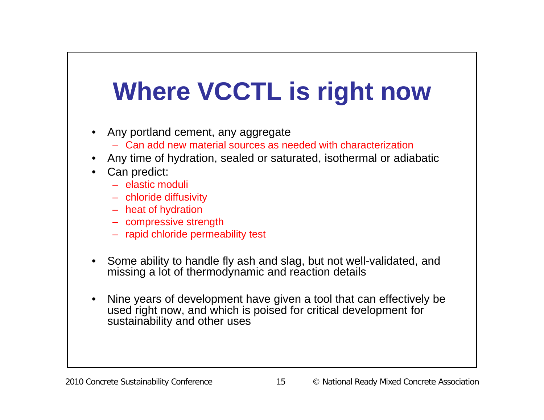## **Where VCCTL is ri ght now**

- • Any portland cement, any aggregate
	- Can add new material sources as needed with characterization
- •Any time of hydration, sealed or saturated, isothermal or adiabatic
- • Can predict:
	- elastic moduli
	- chloride diffusivity
	- heat of hydration
	- compressive strength
	- rapid chloride permeability test
- •Some ability to handle fly ash and slag, but not well-validated, and missing a lot of thermodynamic and reaction details
- • Nine years of development have given a tool that can effectively be used right now, and which is poised for critical development for sustainabilit y and other uses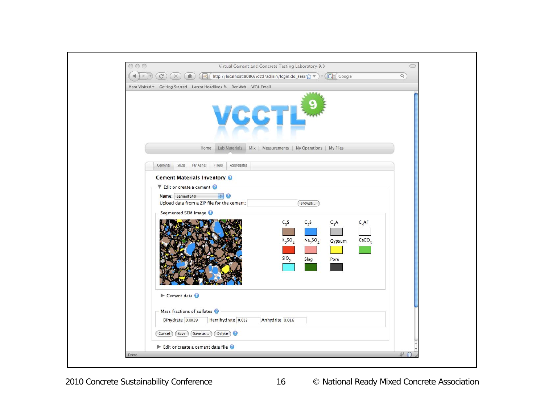| OOO               | Virtual Cement and Concrete Testing Laboratory 9.0<br>$\sim$                                                                                              |
|-------------------|-----------------------------------------------------------------------------------------------------------------------------------------------------------|
| ◀<br>$\mathbb{P}$ | $\mathcal{C}$<br>http://localhost:8080/vcctl/admin/login.do.sess x v C C Coogle<br>Q<br>$\hat{\mathbf{n}}$<br>$\times$                                    |
|                   | Most Visited = Getting Started Latest Headlines $\mathbb{R}$ RenWeb WCA Email                                                                             |
|                   | <b>VCCTL*</b>                                                                                                                                             |
|                   | Home<br>Lab Materials<br>Mix Measurements My Operations My Files                                                                                          |
|                   | Cements<br>slags<br>Fly Ashes<br>Fillers<br>Aggregates                                                                                                    |
|                   | <b>Cement Materials Inventory @</b>                                                                                                                       |
|                   | Edit or create a cement                                                                                                                                   |
|                   | Name: cement140<br>$\left  \frac{1}{2} \right $                                                                                                           |
|                   | Upload data from a ZIP file for the cement:<br>Browse                                                                                                     |
|                   | Segmented SEM Image                                                                                                                                       |
|                   | $C_3S$<br>$C_2S$<br>$C_3A$<br>$C_4$ AF<br>CaCO <sub>3</sub><br>$K_2SO_4$<br>Na <sub>2</sub> SO <sub>4</sub><br>Gypsum<br>SiO <sub>2</sub><br>Slag<br>Pore |
|                   | Cement data                                                                                                                                               |
|                   | Mass fractions of sulfates                                                                                                                                |
|                   | Dihydrate 0.0039<br>Hemihydrate 0.022<br>Anhydrite 0.016                                                                                                  |
|                   | (Save)<br>Save as<br>Delete )<br>Cancel                                                                                                                   |
|                   | Edit or create a cement data file                                                                                                                         |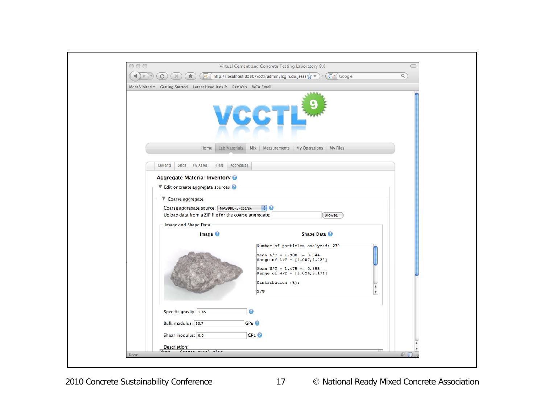| $\bigcirc$<br>n |                                                                               | Virtual Cement and Concrete Testing Laboratory 9.0                                                                                                                                                |   |
|-----------------|-------------------------------------------------------------------------------|---------------------------------------------------------------------------------------------------------------------------------------------------------------------------------------------------|---|
|                 | e<br>俞                                                                        | http://localhost 8080/vcctl/admin/login.do.jsess $\sqrt{\nabla}$ $\sqrt{\left G\right ^{*}}$ Google                                                                                               | Q |
|                 | Most Visited = Getting Started Latest Headlines $\mathbb{R}$ RenWeb WCA Email |                                                                                                                                                                                                   |   |
|                 |                                                                               | <b>ICCT M</b>                                                                                                                                                                                     |   |
|                 | Home<br>Lab Materials                                                         | Mix   Measurements   My Operations   My Files                                                                                                                                                     |   |
|                 |                                                                               |                                                                                                                                                                                                   |   |
|                 | <b>Slags</b><br>Fly Ashes<br>Filers<br>Aggregates<br>Cements                  |                                                                                                                                                                                                   |   |
|                 | Aggregate Material Inventory                                                  |                                                                                                                                                                                                   |   |
|                 | ▼ Edit or create aggregate sources                                            |                                                                                                                                                                                                   |   |
|                 | ▼ Coarse aggregate                                                            |                                                                                                                                                                                                   |   |
|                 | Coarse aggregate source:   MA99BC-5-coarse                                    | $\blacksquare$                                                                                                                                                                                    |   |
|                 | Upload data from a ZIP file for the coarse aggregate:                         | Browse                                                                                                                                                                                            |   |
|                 | Image and Shape Data                                                          |                                                                                                                                                                                                   |   |
|                 | Image <sup>O</sup>                                                            | Shape Data                                                                                                                                                                                        |   |
|                 |                                                                               | Number of particles analyzed: 239<br>Mean $L/T = 1.980$ +- 0.544<br>Range of $L/T = [1.087, 4.423]$<br>Mean $W/T = 1.475$ +- 0.355<br>Range of $W/T = [1.024, 3.176]$<br>Distribution (%):<br>W/T |   |
|                 | Specific gravity: 2.65                                                        | ◉                                                                                                                                                                                                 |   |
|                 | Bulk modulus: 36.7                                                            | CPa                                                                                                                                                                                               |   |
|                 | Shear modulus: 0.0                                                            | CPa <sup>O</sup>                                                                                                                                                                                  |   |
|                 |                                                                               |                                                                                                                                                                                                   |   |

2010 Concrete Sustainability Conference 17 Contemposition 17 Constituted Concrete Association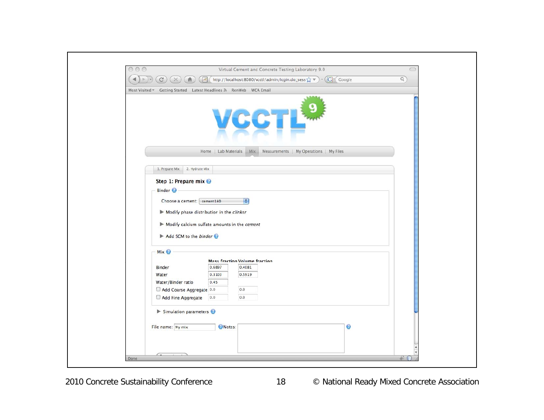|                                                                               | 合<br>减                                                                                                            | http://localhost:8080/vcctl/admin/login.do:jsess ( ) - (C / Google | $\alpha$ |
|-------------------------------------------------------------------------------|-------------------------------------------------------------------------------------------------------------------|--------------------------------------------------------------------|----------|
| Most Visited * Getting Started Latest Headlines $\mathbb{R}$ RenWeb WCA Email |                                                                                                                   |                                                                    |          |
|                                                                               | Home   Lab Materials                                                                                              | VCCTI*<br>Mix<br>Measurements   My Operations   My Files           |          |
| 1. Prepare Mix                                                                | 2. Hydrate Mix                                                                                                    |                                                                    |          |
| Step 1: Prepare mix @                                                         |                                                                                                                   |                                                                    |          |
| <b>Binder</b>                                                                 |                                                                                                                   |                                                                    |          |
|                                                                               |                                                                                                                   |                                                                    |          |
|                                                                               | Choose a cement: cement140                                                                                        | H                                                                  |          |
|                                                                               | Modify phase distribution in the clinker<br>Modify calcium sulfate amounts in the cement<br>Add SCM to the binder |                                                                    |          |
| Mix O                                                                         |                                                                                                                   |                                                                    |          |
|                                                                               |                                                                                                                   | <b>Mass fraction Volume fraction</b>                               |          |
| Binder                                                                        | 0.6897                                                                                                            | 0.4081                                                             |          |
| Water                                                                         | 0.3103                                                                                                            | 0.5919                                                             |          |
| Water/Binder ratio                                                            | 0.45                                                                                                              |                                                                    |          |
|                                                                               | Add Coarse Aggregate 0.0                                                                                          | 0.0                                                                |          |
|                                                                               | 0.0                                                                                                               | 0.0                                                                |          |
| Add Fine Aggregate                                                            |                                                                                                                   |                                                                    |          |
| Simulation parameters                                                         |                                                                                                                   |                                                                    |          |
| File name: Ny mix                                                             | Notes:                                                                                                            | ⊌                                                                  |          |

2010 Concrete Sustainability Conference 18 Content Continuity Concrete Association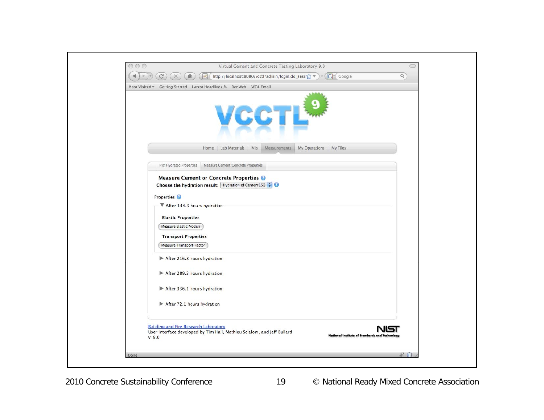| ◀ | Virtual Cement and Concrete Testing Laboratory 9.0<br>http://localhost:8080/vcctl/admin/login.do.jsess \/ \videologie<br>$\alpha$<br>G<br>合                                                                               |
|---|---------------------------------------------------------------------------------------------------------------------------------------------------------------------------------------------------------------------------|
|   | Most Visited = Getting Started Latest Headlines 3 RenWeb WCA Email                                                                                                                                                        |
|   | CCTL®                                                                                                                                                                                                                     |
|   | Home   Lab Materials   Mix<br>Measurements<br>My Operations My Files                                                                                                                                                      |
|   | Plo: Hydrated Properties<br>Measure Cement/Concrete Properties                                                                                                                                                            |
|   | Properties<br>After 144.3 hours hydration<br><b>Elastic Properties</b><br>Measure Elastic Moduli<br><b>Transport Properties</b><br>Measure Transport Factor<br>After 216.8 hours hydration<br>After 289.2 hours hydration |
|   | After 336.1 hours hydration                                                                                                                                                                                               |
|   | After 72.1 hours hydration                                                                                                                                                                                                |
|   | <b>Building and Fire Research Laboratory</b><br>User interface developed by Tim Hall, Mathieu Scialom, and Jeff Bullard<br>National Institute of Standards and Tech<br>v. 9.0                                             |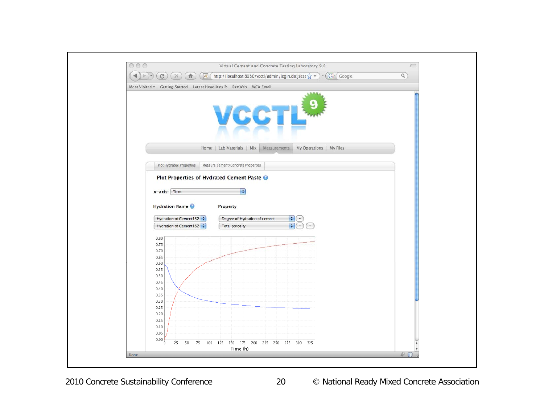

2010 Concrete Sustainability Conference 20 C National Ready Mixed Concrete Association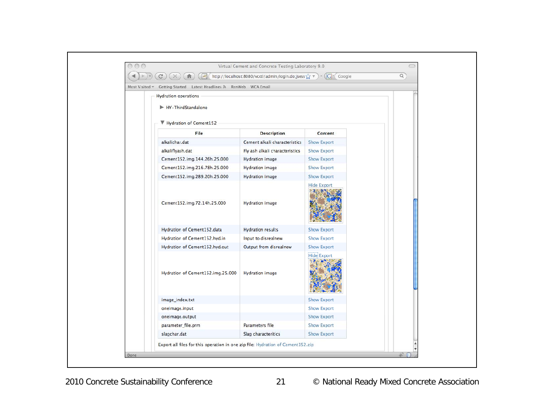| Most Visited = | Getting Started Latest Headlines & RenWeb WCA Email |                                |                    |  |
|----------------|-----------------------------------------------------|--------------------------------|--------------------|--|
|                | <b>Hydration operations</b>                         |                                |                    |  |
|                | HY-ThirdStandalone                                  |                                |                    |  |
|                | W Hydration of Cement152                            |                                |                    |  |
|                | File                                                | <b>Description</b>             | <b>Content</b>     |  |
|                | alkalichar.dat                                      | Cement alkali characteristics  | <b>Show Export</b> |  |
|                | alkaliflyash.dat                                    | Fly ash alkali characteristics | <b>Show Export</b> |  |
|                | Cement152.img.144.26h.25.000                        | Hydration image                | <b>Show Export</b> |  |
|                | Cement152.img.216.78h.25.000                        | <b>Hydration image</b>         | <b>Show Export</b> |  |
|                | Cement152.img.289.20h.25.000                        | Hydration image                | <b>Show Export</b> |  |
|                | Cement152.img.72.14h.25.000                         | Hydration image                | <b>Hide Export</b> |  |
|                | Hydration of Cement152.data                         | <b>Hydration results</b>       | <b>Show Export</b> |  |
|                | Hydration of Cement152.hyd.in                       | Input to disrealnew            | <b>Show Export</b> |  |
|                | Hydration of Cement152.hyd.out                      | Output from disrealnew         | <b>Show Export</b> |  |
|                | Hydration of Cement152.img.25.000                   | Hydration image                | Hide Export        |  |
|                | image_index.txt                                     |                                | <b>Show Export</b> |  |
|                | oneimage.input                                      |                                | <b>Show Export</b> |  |
|                | oneimage.output                                     |                                | <b>Show Export</b> |  |
|                | parameter_file.prm                                  | Parameters file                | <b>Show Export</b> |  |
|                | slagchar.dat                                        | Slag characteritics            | <b>Show Export</b> |  |

2010 Concrete Sustainability Conference 21 C National Ready Mixed Concrete Association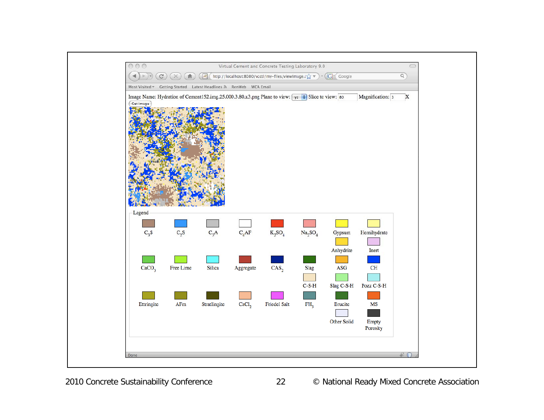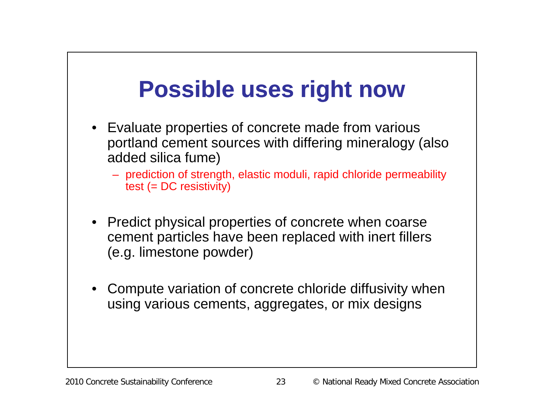#### **Possible uses right now**

- Evaluate properties of concrete made from various portland cement sources with differing mineralogy (also added silica fume)
	- prediction of strength, elastic moduli, rapid chloride permeability test (= DC resistivity)
- Predict physical properties of concrete when coarse cement particles have been replaced with inert fillers (e.g. limestone powder)
- • Compute variation of concrete chloride diffusivity when using various cements, aggregates, or mix designs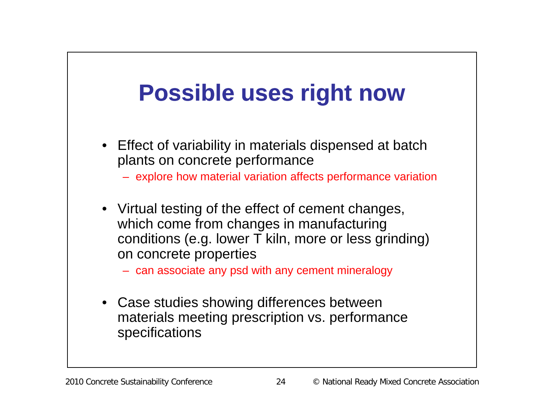#### **Possible uses ri ght now**

- Effect of variability in materials dispensed at batch plants on concrete performance
	- explore how material variation affects performance variation
- $\bullet~$  Virtual testing of the effect of cement changes, which come from changes in manufacturing conditions (e.g. lower T kiln, more or less grinding) on concrete properties

– can associate any psd with any cement mineralogy

• Case studies showing differences between materials meeting prescription vs. performance specifications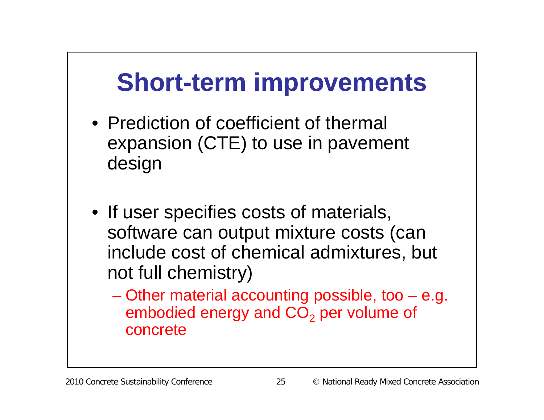## **Short-term improvements**

- Prediction of coefficient of thermal expansion (CTE) to use in pavement design
- If user specifies costs of materials, software can output mixture costs (can include cost of chemical admixtures, but not full chemistry)
	- Other material accounting possible, too e.g. embodied energy and  $\mathsf{CO}_2$  per volume of concrete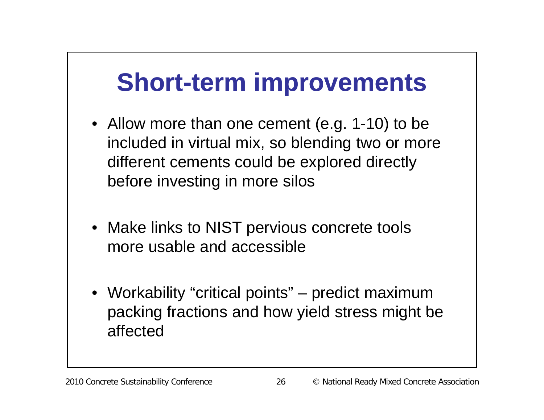## **Short-term improvements**

- Allow more than one cement (e.g. 1-10) to be included in virtual mix, so blending two or more different cements could be explored directly before investing in more silos
- Make links to NIST pervious concrete tools more usable and accessible
- Workability "critical points" predict maximum packing fractions and how yield stress might be affected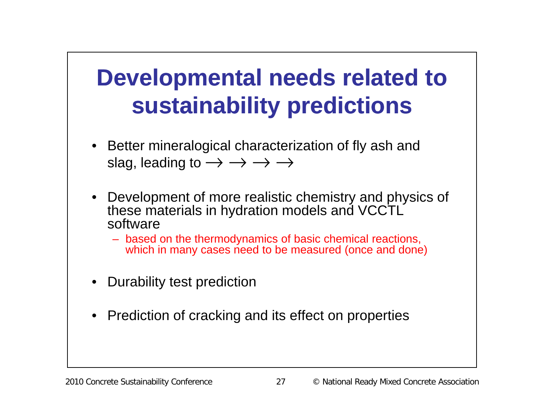### **Developmental needs related to sustainability predictions**

- Better mineralogical characterization of fly ash and slag, leading to  $\rightarrow \rightarrow \rightarrow \rightarrow$
- • Development of more realistic chemistry and physics of these materials in hydration models and VCCTL software
	- based on the thermodynamics of basic chemical reactions, which in many cases need to be measured (once and done)
- •Durability test prediction
- •Prediction of cracking and its effect on properties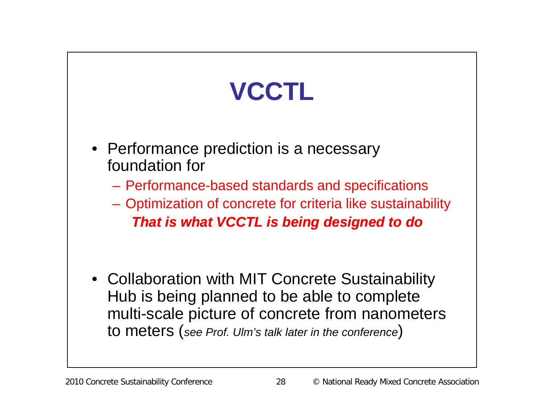## **VCCTL**

- $\bullet\,$  Performance prediction is a necessary foundation for
	- Performance-based standards and specifications
	- Optimization of concrete for criteria like sustainability *That is what VCCTL is being designed to do*
- Collaboration with MIT Concrete Sustainability Hub is being planned to be able to complete multi-scale picture of concrete from nanometers to meters (*see Prof. Ulm's talk later in the conference* )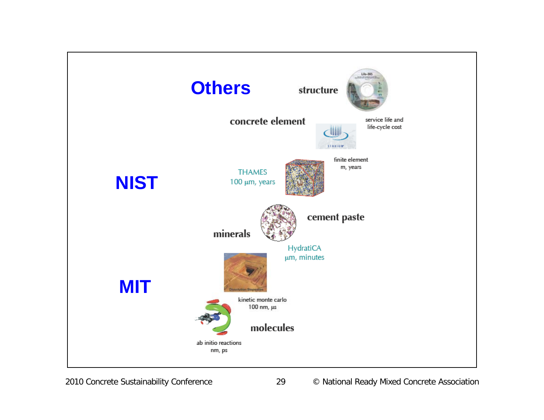

2010 Concrete Sustainability Conference 29 C National Ready Mixed Concrete Association